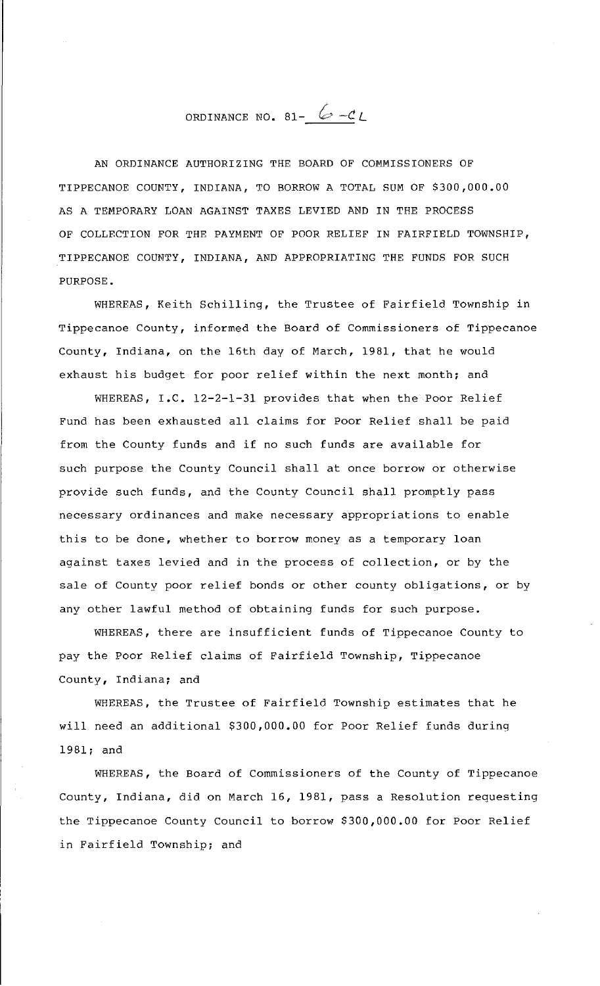ORDINANCE NO. 81-  $6 - c_L$ 

AN ORDINANCE AUTHORIZING THE BOARD OF COMMISSIONERS OF TIPPECANOE COUNTY, INDIANA, TO BORROW A TOTAL SUM OF \$300,000.00 AS A TEMPORARY LOAN AGAINST TAXES LEVIED AND IN THE PROCESS OF COLLECTION FOR THE PAYMENT OF POOR RELIEF IN FAIRFIELD TOWNSHIP, TIPPECANOE COUNTY, INDIANA, AND APPROPRIATING THE FUNDS FOR SUCH PURPOSE.

WHEREAS, Keith Schilling, the Trustee of Fairfield Township in Tippecanoe County, informed the Board of Commissioners of Tippecanoe County, Indiana, on the 16th day of March, 1981, that he would exhaust his budget for poor relief within the next month; and

WHEREAS, I.C. 12-2-1-31 provides that when the Poor Relief Fund has been exhausted all claims for Poor Relief shall be paid from the County funds and if no such funds are available for such purpose the County Council shall at once borrow or otherwise provide such funds, and the County Council shall promptly pass necessary ordinances and make necessary appropriations to enable this to be done, whether to borrow money as a temporary loan against taxes levied and in the process of collection, or by the sale of County poor relief bonds or other county obligations, or by any other lawful method of obtaining funds for such purpose.

WHEREAS, there are insufficient funds of Tippecanoe County to pay the Poor Relief claims of Fairfield Township, Tippecanoe County, Indiana; and

WHEREAS, the Trustee of Fairfield Township estimates that he will need an additional \$300,000.00 for Poor Relief funds during 1981; and

WHEREAS, the Board of Commissioners of the County of Tippecanoe County, Indiana, did on March 16, 1981, pass a Resolution requesting the Tippecanoe County Council to borrow \$300,000.00 for Poor Relief in Fairfield Township; and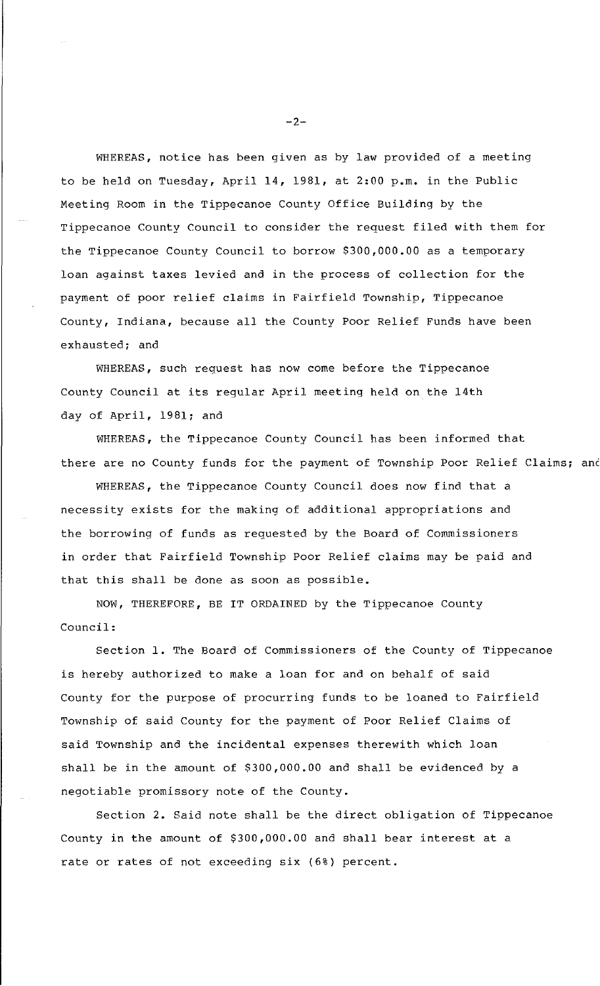WHEREAS, notice has been given as by law provided of a meeting to be held on Tuesday, April 14, 1981, at 2:00 p.m. in the Public Meeting Room in the Tippecanoe County Office Building by the Tippecanoe County Council to consider the request filed with them for the Tippecanoe County Council to borrow \$300,000.00 as a temporary loan against taxes levied and in the process of collection for the payment of poor relief claims in Fairfield Township, Tippecanoe County, Indiana, because all the County Poor Relief Funds have been exhausted; and

WHEREAS, such request has now come before the Tippecanoe County Council at its regular April meeting held on the 14th day of April, 1981; and

WHEREAS, the Tippecanoe County Council has been informed that there are no County funds for the payment of Township Poor Relief Claims; and

WHEREAS, the Tippecanoe County Council does now find that a necessity exists for the making of additional appropriations and the borrowing of funds as requested by the Board of Commissioners in order that Fairfield Township Poor Relief claims may be paid and that this shall be done as soon as possible.

NOW, THEREFORE, BE IT ORDAINED by the Tippecanoe County Council:

Section 1. The Board of Commissioners of the County of Tippecanoe is hereby authorized to make a loan for and on behalf of said County for the purpose of procurring funds to be loaned to Fairfield Township of said County for the payment of Poor Relief Claims of said Township and the incidental expenses therewith which loan shall be in the amount of \$300,000.00 and shall be evidenced by a negotiable promissory note of the County.

Section 2. Said note shall be the direct obligation of Tippecanoe County in the amount of \$300,000.00 and shall bear interest at a rate or rates of not exceeding six (6%) percent.

 $-2-$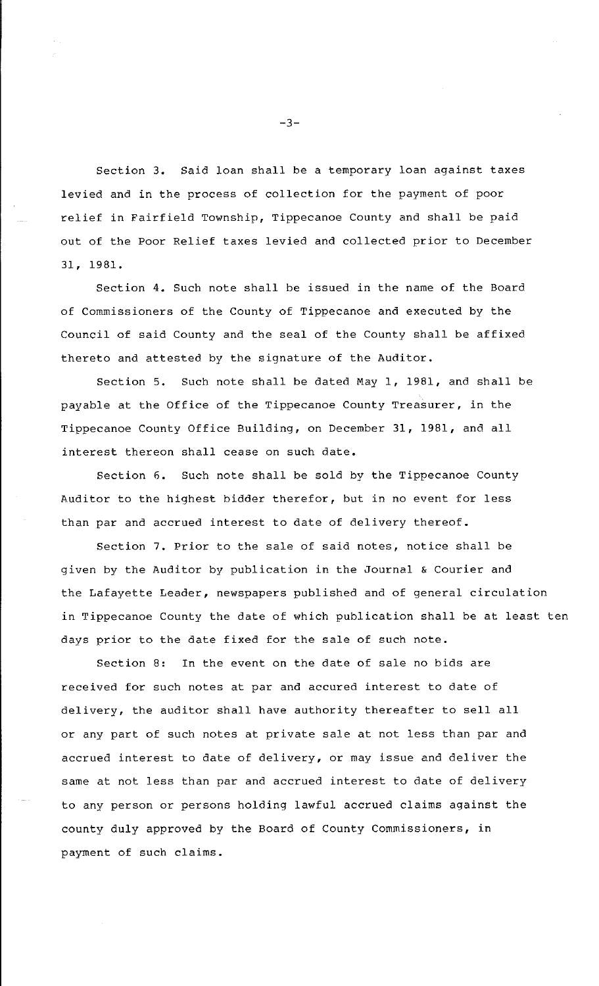Section 3. Said loan shall be a temporary loan against taxes levied and in the process of collection for the payment of poor relief in Fairfield Township, Tippecanoe County and shall be paid out of the Poor Relief taxes levied and collected prior to December 31, 1981.

Section 4. Such note shall be issued in the name of the Board of Commissioners of the County of Tippecanoe and executed by the Council of said County and the seal of the County shall be affixed thereto and attested by the signature of the Auditor.

Section 5. Such note shall be dated May 1, 1981, and shall be payable at the Office of the Tippecanoe County Treasurer, in the Tippecanoe County Office Building, on December 31, 1981, and all interest thereon shall cease on such date.

Section 6. Such note shall be sold by the Tippecanoe County Auditor to the highest bidder therefor, but in no event for less than par and accrued interest to date of delivery thereof.

Section 7. Prior to the sale of said notes, notice shall be given by the Auditor by publication in the Journal & Courier and the Lafayette Leader, newspapers published and of general circulation in Tippecanoe County the date of which publication shall be at least ten days prior to the date fixed for the sale of such note.

Section 8: In the event on the date of sale no bids are received for such notes at par and accured interest to date of delivery, the auditor shall have authority thereafter to sell all or any part of such notes at private sale at not less than par and accrued interest to date of delivery, or may issue and deliver the same at not less than par and accrued interest to date of delivery to any person or persons holding lawful accrued claims against the county duly approved by the Board of County Commissioners, in payment of such claims.

 $-3-$